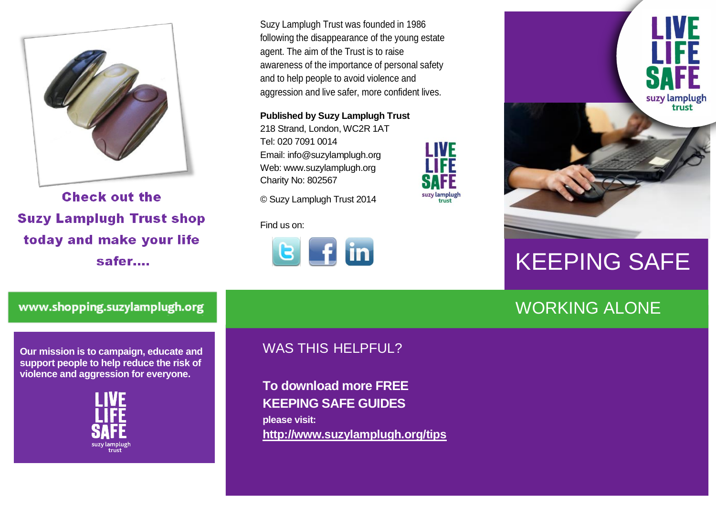

**Check out the Suzy Lamplugh Trust shop** today and make your life safer....

Suzy Lamplugh Trust was founded in 1986 following the disappearance of the young estate agent. The aim of the Trust is to raise awareness of the importance of personal safety and to help people to avoid violence and aggression and live safer, more confident lives.

**Published by Suzy Lamplugh Trust**

218 Strand, London, WC2R 1AT Tel: 020 7091 0014 Email: info@suzylamplugh.org Web: www.suzylamplugh.org Charity No: 802567

© Suzy Lamplugh Trust 2014

Find us on:





**I IVF** 

suzy lamplugh<br>trust

LIVE

**TIFF** 

suzy lamplugh trust

# KEEPING SAFE

#### WORKING ALONE

www.shopping.suzylamplugh.org

**Our mission is to campaign, educate and support people to help reduce the risk of violence and aggression for everyone.** 



#### WAS THIS HELPFUL?

**To download more FREE KEEPING SAFE GUIDES please visit: <http://www.suzylamplugh.org/tips>**